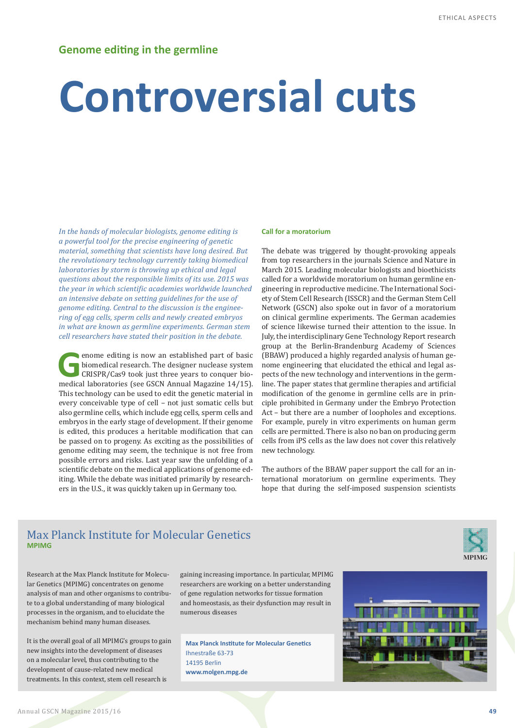# **Controversial cuts**

*In the hands of molecular biologists, genome editing is a powerful tool for the precise engineering of genetic material, something that scientists have long desired. But the revolutionary technology currently taking biomedical laboratories by storm is throwing up ethical and legal questions about the responsible limits of its use. 2015 was the year in which scientific academies worldwide launched an intensive debate on setting guidelines for the use of genome editing. Central to the discussion is the engineering of egg cells, sperm cells and newly created embryos in what are known as germline experiments. German stem cell researchers have stated their position in the debate.*

**C**enome editing is now an established part of basic biomedical research. The designer nuclease system CRISPR/Cas9 took just three years to conquer biomedical laboratories (see GSCN Annual Magazine 14/15). This technology can be used to edit the genetic material in every conceivable type of cell – not just somatic cells but also germline cells, which include egg cells, sperm cells and embryos in the early stage of development. If their genome is edited, this produces a heritable modification that can be passed on to progeny. As exciting as the possibilities of genome editing may seem, the technique is not free from possible errors and risks. Last year saw the unfolding of a scientific debate on the medical applications of genome editing. While the debate was initiated primarily by researchers in the U.S., it was quickly taken up in Germany too.

#### **Call for a moratorium**

The debate was triggered by thought-provoking appeals from top researchers in the journals Science and Nature in March 2015. Leading molecular biologists and bioethicists called for a worldwide moratorium on human germline engineering in reproductive medicine. The International Society of Stem Cell Research (ISSCR) and the German Stem Cell Network (GSCN) also spoke out in favor of a moratorium on clinical germline experiments. The German academies of science likewise turned their attention to the issue. In July, the interdisciplinary Gene Technology Report research group at the Berlin-Brandenburg Academy of Sciences (BBAW) produced a highly regarded analysis of human genome engineering that elucidated the ethical and legal aspects of the new technology and interventions in the germline. The paper states that germline therapies and artificial modification of the genome in germline cells are in principle prohibited in Germany under the Embryo Protection Act – but there are a number of loopholes and exceptions. For example, purely in vitro experiments on human germ cells are permitted. There is also no ban on producing germ cells from iPS cells as the law does not cover this relatively new technology.

The authors of the BBAW paper support the call for an international moratorium on germline experiments. They hope that during the self-imposed suspension scientists

## Max Planck Institute for Molecular Genetics **MPIMG**

Research at the Max Planck Institute for Molecular Genetics (MPIMG) concentrates on genome analysis of man and other organisms to contribute to a global understanding of many biological processes in the organism, and to elucidate the mechanism behind many human diseases.

It is the overall goal of all MPIMG's groups to gain new insights into the development of diseases on a molecular level, thus contributing to the development of cause-related new medical treatments. In this context, stem cell research is

gaining increasing importance. In particular, MPIMG researchers are working on a better understanding of gene regulation networks for tissue formation and homeostasis, as their dysfunction may result in numerous diseases

**Max Planck Institute for Molecular Genetics** Ihnestraße 63-73 14195 Berlin **[www.molgen.mpg.de](http://www.molgen.mpg.de)**



**MPIMG**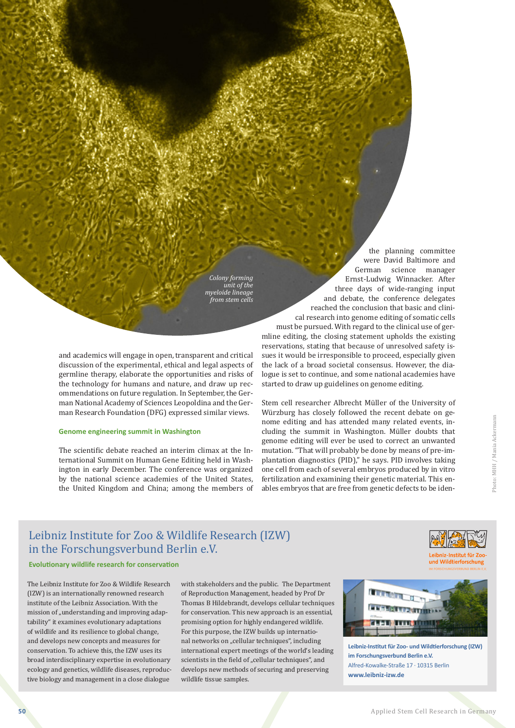*Colony forming unit of the myeloide lineage from stem cells*

and academics will engage in open, transparent and critical discussion of the experimental, ethical and legal aspects of germline therapy, elaborate the opportunities and risks of the technology for humans and nature, and draw up recommendations on future regulation. In September, the German National Academy of Sciences Leopoldina and the German Research Foundation (DFG) expressed similar views.

### **Genome engineering summit in Washington**

The scientific debate reached an interim climax at the International Summit on Human Gene Editing held in Washington in early December. The conference was organized by the national science academies of the United States, the United Kingdom and China; among the members of

the planning committee were David Baltimore and German science manager Ernst-Ludwig Winnacker. After three days of wide-ranging input and debate, the conference delegates reached the conclusion that basic and clinical research into genome editing of somatic cells must be pursued. With regard to the clinical use of germline editing, the closing statement upholds the existing reservations, stating that because of unresolved safety issues it would be irresponsible to proceed, especially given the lack of a broad societal consensus. However, the dialogue is set to continue, and some national academies have started to draw up guidelines on genome editing.

Stem cell researcher Albrecht Müller of the University of Würzburg has closely followed the recent debate on genome editing and has attended many related events, including the summit in Washington. Müller doubts that genome editing will ever be used to correct an unwanted mutation. "That will probably be done by means of pre-implantation diagnostics (PID)," he says. PID involves taking one cell from each of several embryos produced by in vitro fertilization and examining their genetic material. This enables embryos that are free from genetic defects to be iden-

## Leibniz Institute for Zoo & Wildlife Research (IZW) in the Forschungsverbund Berlin e.V.

## **Evolutionary wildlife research for conservation**

The Leibniz Institute for Zoo & Wildlife Research (IZW) is an internationally renowned research institute of the Leibniz Association. With the mission of "understanding and improving adaptability" it examines evolutionary adaptations of wildlife and its resilience to global change, and develops new concepts and measures for conservation. To achieve this, the IZW uses its broad interdisciplinary expertise in evolutionary ecology and genetics, wildlife diseases, reproductive biology and management in a close dialogue

with stakeholders and the public. The Department of Reproduction Management, headed by Prof Dr Thomas B Hildebrandt, develops cellular techniques for conservation. This new approach is an essential, promising option for highly endangered wildlife. For this purpose, the IZW builds up international networks on "cellular techniques", including international expert meetings of the world's leading scientists in the field of "cellular techniques", and develops new methods of securing and preserving wildlife tissue samples.



Leibniz-Institut für Zoound Wildtierforschung

**Leibniz-Institut für Zoo- und Wildtierforschung (IZW) im Forschungsverbund Berlin e.V.** Alfred-Kowalke-Straße 17 · 10315 Berlin **[www.leibniz-izw.de](http://www.izw-berlin.de/willkommen.html)**